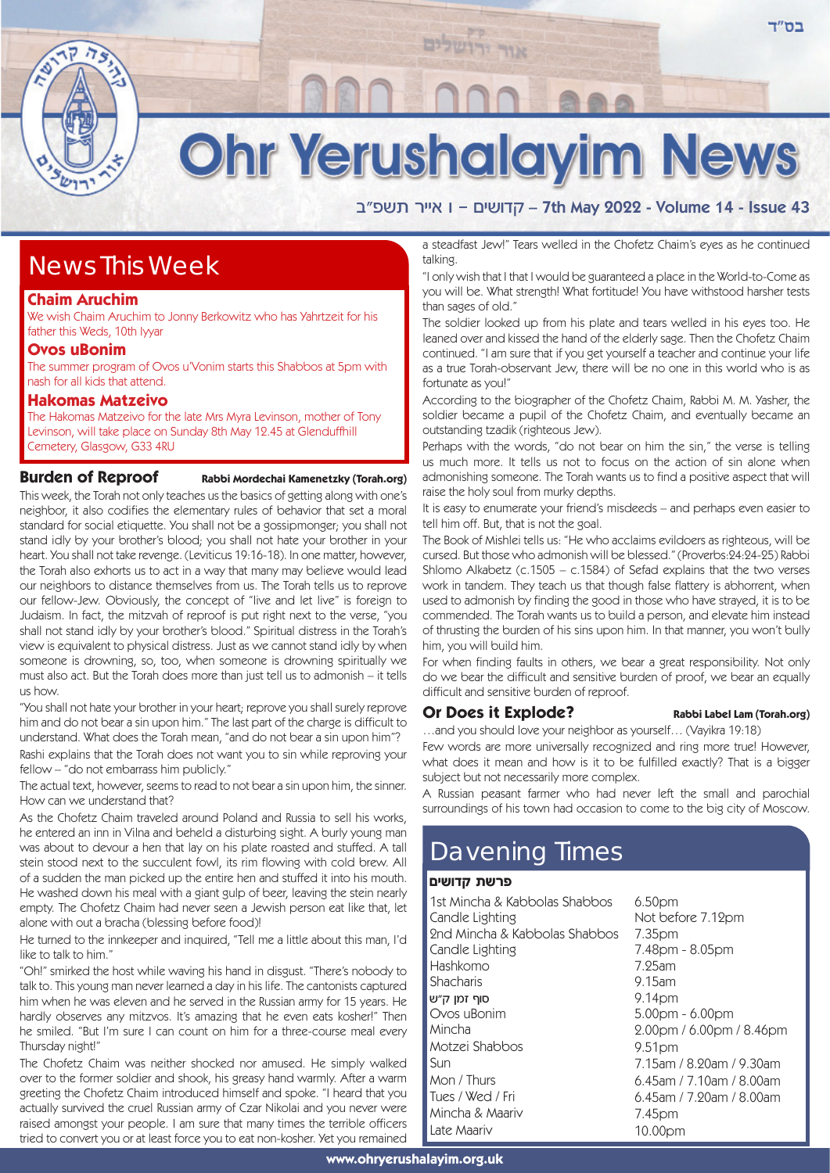

# **Ohr Yerushalayim News**

אור יר

a"דושים – 1 אייר תשפ״ב – 7th May 2022 - Volume 14 - Issue 43

# News This Week

#### **Chaim Aruchim**

We wish Chaim Aruchim to Jonny Berkowitz who has Yahrtzeit for his father this Weds, 10th Iyyar

### **Ovos uBonim**

The summer program of Ovos u'Vonim starts this Shabbos at 5pm with nash for all kids that attend.

#### **Hakomas Matzeivo**

The Hakomas Matzeivo for the late Mrs Myra Levinson, mother of Tony Levinson, will take place on Sunday 8th May 12.45 at Glenduffhill Cemetery, Glasgow, G33 4RU

### **Burden of Reproof** Rabbi Mordechai Kamenetzky (Torah.org)

This week, the Torah not only teaches us the basics of getting along with one's neighbor, it also codifies the elementary rules of behavior that set a moral standard for social etiquette. You shall not be a gossipmonger; you shall not stand idly by your brother's blood; you shall not hate your brother in your heart. You shall not take revenge. (Leviticus 19:16-18). In one matter, however, the Torah also exhorts us to act in a way that many may believe would lead our neighbors to distance themselves from us. The Torah tells us to reprove our fellow-Jew. Obviously, the concept of "live and let live" is foreign to Judaism. In fact, the mitzvah of reproof is put right next to the verse, "you shall not stand idly by your brother's blood." Spiritual distress in the Torah's view is equivalent to physical distress. Just as we cannot stand idly by when someone is drowning, so, too, when someone is drowning spiritually we must also act. But the Torah does more than just tell us to admonish – it tells us how.

"You shall not hate your brother in your heart; reprove you shall surely reprove him and do not bear a sin upon him." The last part of the charge is difficult to understand. What does the Torah mean, "and do not bear a sin upon him"? Rashi explains that the Torah does not want you to sin while reproving your fellow – "do not embarrass him publicly."

The actual text, however, seems to read to not bear a sin upon him, the sinner. How can we understand that?

As the Chofetz Chaim traveled around Poland and Russia to sell his works, he entered an inn in Vilna and beheld a disturbing sight. A burly young man was about to devour a hen that lay on his plate roasted and stuffed. A tall stein stood next to the succulent fowl, its rim flowing with cold brew. All of a sudden the man picked up the entire hen and stuffed it into his mouth. He washed down his meal with a giant gulp of beer, leaving the stein nearly empty. The Chofetz Chaim had never seen a Jewish person eat like that, let alone with out a bracha (blessing before food)!

He turned to the innkeeper and inquired, "Tell me a little about this man, I'd like to talk to him."

"Oh!" smirked the host while waving his hand in disgust. "There's nobody to talk to. This young man never learned a day in his life. The cantonists captured him when he was eleven and he served in the Russian army for 15 years. He hardly observes any mitzvos. It's amazing that he even eats kosher!" Then he smiled. "But I'm sure I can count on him for a three-course meal every Thursday night!"

The Chofetz Chaim was neither shocked nor amused. He simply walked over to the former soldier and shook, his greasy hand warmly. After a warm greeting the Chofetz Chaim introduced himself and spoke. "I heard that you actually survived the cruel Russian army of Czar Nikolai and you never were raised amongst your people. I am sure that many times the terrible officers tried to convert you or at least force you to eat non-kosher. Yet you remained

a steadfast Jew!" Tears welled in the Chofetz Chaim's eyes as he continued talking.

"I only wish that I that I would be guaranteed a place in the World-to-Come as you will be. What strength! What fortitude! You have withstood harsher tests than sages of old."

The soldier looked up from his plate and tears welled in his eyes too. He leaned over and kissed the hand of the elderly sage. Then the Chofetz Chaim continued. "I am sure that if you get yourself a teacher and continue your life as a true Torah-observant Jew, there will be no one in this world who is as fortunate as you!"

According to the biographer of the Chofetz Chaim, Rabbi M. M. Yasher, the soldier became a pupil of the Chofetz Chaim, and eventually became an outstanding tzadik (righteous Jew).

Perhaps with the words, "do not bear on him the sin," the verse is telling us much more. It tells us not to focus on the action of sin alone when admonishing someone. The Torah wants us to find a positive aspect that will raise the holy soul from murky depths.

It is easy to enumerate your friend's misdeeds – and perhaps even easier to tell him off. But, that is not the goal.

The Book of Mishlei tells us: "He who acclaims evildoers as righteous, will be cursed. But those who admonish will be blessed." (Proverbs:24:24-25) Rabbi Shlomo Alkabetz (c.1505 – c.1584) of Sefad explains that the two verses work in tandem. They teach us that though false flattery is abhorrent, when used to admonish by finding the good in those who have strayed, it is to be commended. The Torah wants us to build a person, and elevate him instead of thrusting the burden of his sins upon him. In that manner, you won't bully him, you will build him.

For when finding faults in others, we bear a great responsibility. Not only do we bear the difficult and sensitive burden of proof, we bear an equally difficult and sensitive burden of reproof.

## **Or Does it Explode?** Rabbi Label Lam (Torah.org)

…and you should love your neighbor as yourself… (Vayikra 19:18) Few words are more universally recognized and ring more true! However, what does it mean and how is it to be fulfilled exactly? That is a bigger

subject but not necessarily more complex. A Russian peasant farmer who had never left the small and parochial surroundings of his town had occasion to come to the big city of Moscow.

# Davening Times

#### פרשת קדושים

| 1st Mincha & Kabbolas Shabbos | 6.50 <sub>pm</sub>                 |
|-------------------------------|------------------------------------|
| Candle Lighting               | Not before 7.12pm                  |
| 2nd Mincha & Kabbolas Shabbos | 7.35pm                             |
| Candle Lighting               | 7.48pm - 8.05pm                    |
| Hashkomo                      | $7.25$ am                          |
| Shacharis                     | $9.15$ am                          |
| סוף זמן ק״ש                   | 9.14 <sub>pm</sub>                 |
| Ovos uBonim                   | 5.00pm - 6.00pm                    |
| Mincha                        | $2.00 \text{pm}$ / 6.00pm / 8.46pm |
| Motzei Shabbos                | 9.51 <sub>pm</sub>                 |
| Sun                           | 7.15am / 8.20am / 9.30am           |
| Mon / Thurs                   | $6.45$ am / 7.10am / 8.00am        |
| Tues / Wed / Fri              | $6.45$ am / 7.20am / 8.00am        |
| Mincha & Maariv               | 7.45pm                             |
| Late Maariv                   | 10.00pm                            |